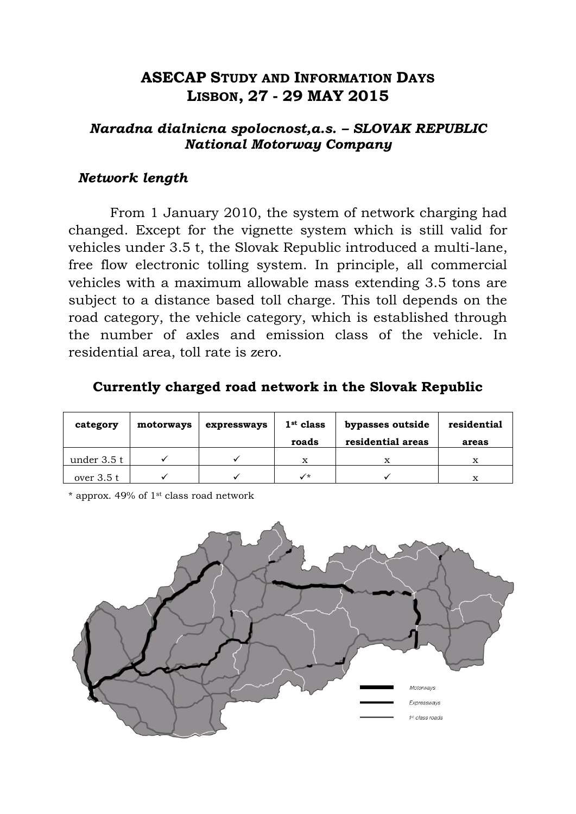## **ASECAP STUDY AND INFORMATION DAYS LISBON, 27 - 29 MAY 2015**

#### *Naradna dialnicna spolocnost,a.s. – SLOVAK REPUBLIC National Motorway Company*

#### *Network length*

From 1 January 2010, the system of network charging had changed. Except for the vignette system which is still valid for vehicles under 3.5 t, the Slovak Republic introduced a multi-lane, free flow electronic tolling system. In principle, all commercial vehicles with a maximum allowable mass extending 3.5 tons are subject to a distance based toll charge. This toll depends on the road category, the vehicle category, which is established through the number of axles and emission class of the vehicle. In residential area, toll rate is zero.

#### **Currently charged road network in the Slovak Republic**

| category    | motorways | expressways | $1st$ class<br>roads | bypasses outside<br>residential areas | residential<br>areas |
|-------------|-----------|-------------|----------------------|---------------------------------------|----------------------|
| under 3.5 t |           |             | X                    |                                       | x                    |
| over $3.5t$ |           |             | $\checkmark$         |                                       | x                    |

\* approx. 49% of 1st class road network

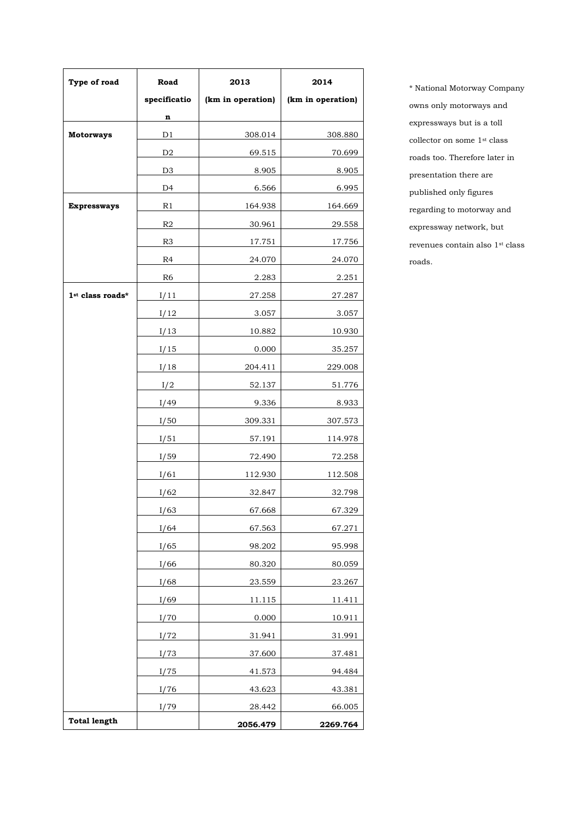| Type of road        | Road           | 2013              | 2014              |
|---------------------|----------------|-------------------|-------------------|
|                     | specificatio   | (km in operation) | (km in operation) |
|                     | n              |                   |                   |
| <b>Motorways</b>    | D1             | 308.014           | 308.880           |
|                     | D <sub>2</sub> | 69.515            | 70.699            |
|                     | D <sub>3</sub> | 8.905             | 8.905             |
|                     | D <sub>4</sub> | 6.566             | 6.995             |
| <b>Expressways</b>  | R1             | 164.938           | 164.669           |
|                     | R <sub>2</sub> | 30.961            | 29.558            |
|                     | R <sub>3</sub> | 17.751            | 17.756            |
|                     | R4             | 24.070            | 24.070            |
|                     | R <sub>6</sub> | 2.283             | 2.251             |
| 1st class roads*    | I/11           | 27.258            | 27.287            |
|                     | I/12           | 3.057             | 3.057             |
|                     | I/13           | 10.882            | 10.930            |
|                     | I/15           | 0.000             | 35.257            |
|                     | I/18           | 204.411           | 229.008           |
|                     | I/2            | 52.137            | 51.776            |
|                     | I/49           | 9.336             | 8.933             |
|                     | I/50           | 309.331           | 307.573           |
|                     | I/51           | 57.191            | 114.978           |
|                     | I/59           | 72.490            | <u>72.258</u>     |
|                     | I/61           | <u>112.930</u>    | <u>112.508</u>    |
|                     | I/62           | 32.847            | 32.798            |
|                     | I/63           | 67.668            | 67.329            |
|                     | I/64           | 67.563            | <u>67.271</u>     |
|                     | I/65           | 98.202            | 95.998            |
|                     | I/66           | 80.320            | 80.059            |
|                     | I/68           | 23.559            | 23.267            |
|                     | I/69           | 11.115            | 11.411            |
|                     | I/70           | 0.000             | 10.911            |
|                     | I/72           | 31.941            | 31.991            |
|                     | I/73           | 37.600            | 37.481            |
|                     | I/75           | 41.573            | 94.484            |
|                     | I/76           | 43.623            | 43.381            |
|                     | I/79           | 28.442            | 66.005            |
| <b>Total length</b> |                | 2056.479          | 2269.764          |

\* National Motorway Company owns only motorways and expressways but is a toll collector on some  $1^{\rm st}$  class roads too. Therefore later in presentation there are published only figures regarding to motorway and expressway network, but revenues contain also 1st class roads.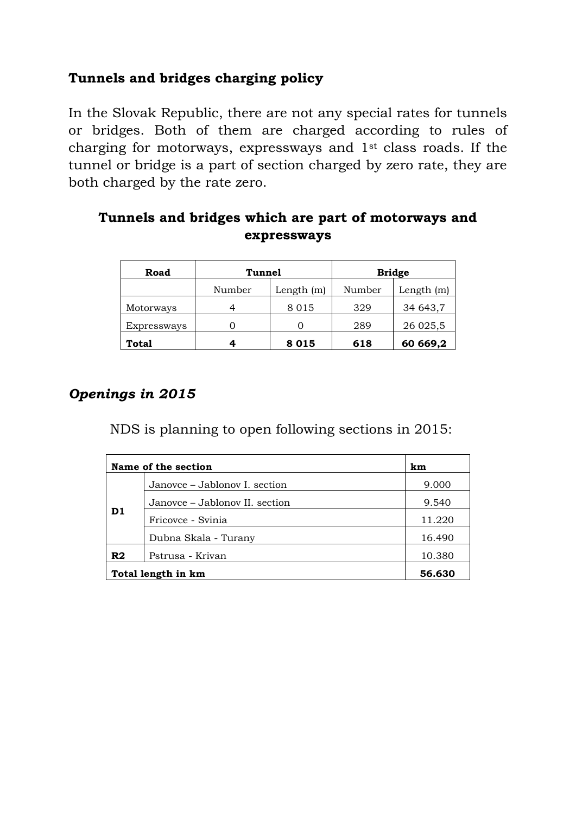## **Tunnels and bridges charging policy**

In the Slovak Republic, there are not any special rates for tunnels or bridges. Both of them are charged according to rules of charging for motorways, expressways and 1st class roads. If the tunnel or bridge is a part of section charged by zero rate, they are both charged by the rate zero.

| Road               | <b>Tunnel</b> |              | <b>Bridge</b> |              |
|--------------------|---------------|--------------|---------------|--------------|
|                    | Number        | Length $(m)$ | Number        | Length $(m)$ |
| Motorways          |               | 8 0 1 5      | 329           | 34 643,7     |
| <b>Expressways</b> |               | 0            | 289           | 26 025,5     |
| Total              |               | 8 0 1 5      | 618           | 60 669,2     |

## **Tunnels and bridges which are part of motorways and expressways**

## *Openings in 2015*

NDS is planning to open following sections in 2015:

|                    | Name of the section            |        |  |  |
|--------------------|--------------------------------|--------|--|--|
|                    | Janovce – Jablonov I. section  | 9.000  |  |  |
|                    | Janovce – Jablonov II. section | 9.540  |  |  |
| D1                 | Fricovce - Svinia              | 11.220 |  |  |
|                    | Dubna Skala - Turany           | 16.490 |  |  |
| R <sub>2</sub>     | Pstrusa - Krivan               | 10.380 |  |  |
| Total length in km | 56.630                         |        |  |  |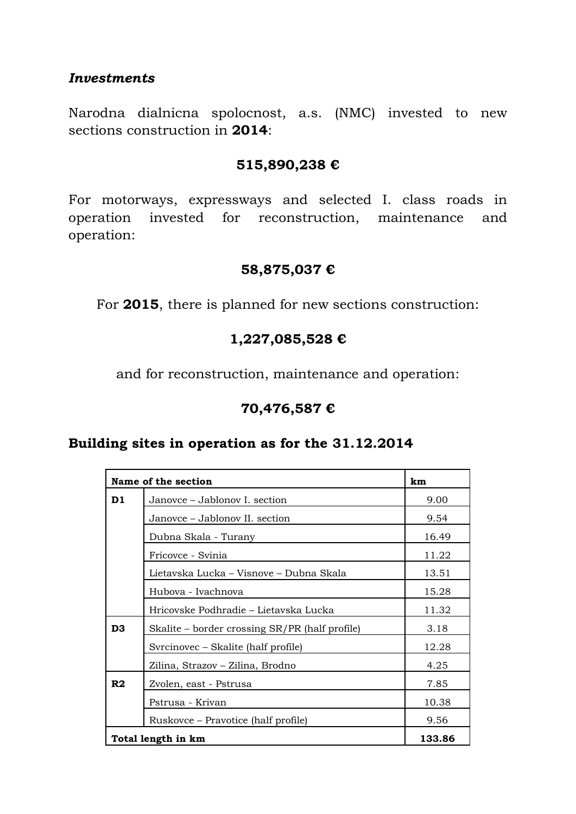#### *Investments*

Narodna dialnicna spolocnost, a.s. (NMC) invested to new sections construction in **2014**:

#### **515,890,238 €**

For motorways, expressways and selected I. class roads in operation invested for reconstruction, maintenance and operation:

#### **58,875,037 €**

For **2015**, there is planned for new sections construction:

## **1,227,085,528 €**

and for reconstruction, maintenance and operation:

## **70,476,587 €**

#### **Building sites in operation as for the 31.12.2014**

|                | Name of the section                            |        |  |  |  |
|----------------|------------------------------------------------|--------|--|--|--|
| D1             | Janovce – Jablonov I. section                  | 9.00   |  |  |  |
|                | Janovce – Jablonov II. section                 | 9.54   |  |  |  |
|                | Dubna Skala - Turany                           | 16.49  |  |  |  |
|                | Fricovce - Svinia                              | 11.22  |  |  |  |
|                | Lietavska Lucka – Visnove – Dubna Skala        | 13.51  |  |  |  |
|                | Hubova - Ivachnova                             | 15.28  |  |  |  |
|                | Hricovske Podhradie – Lietavska Lucka          | 11.32  |  |  |  |
| D <sub>3</sub> | Skalite – border crossing SR/PR (half profile) | 3.18   |  |  |  |
|                | Syrcinovec – Skalite (half profile)            | 12.28  |  |  |  |
|                | Zilina, Strazov – Zilina, Brodno               | 4.25   |  |  |  |
| R2             | Zvolen, east - Pstrusa                         | 7.85   |  |  |  |
|                | Pstrusa - Krivan                               | 10.38  |  |  |  |
|                | Ruskovce – Pravotice (half profile)            | 9.56   |  |  |  |
|                | Total length in km                             | 133.86 |  |  |  |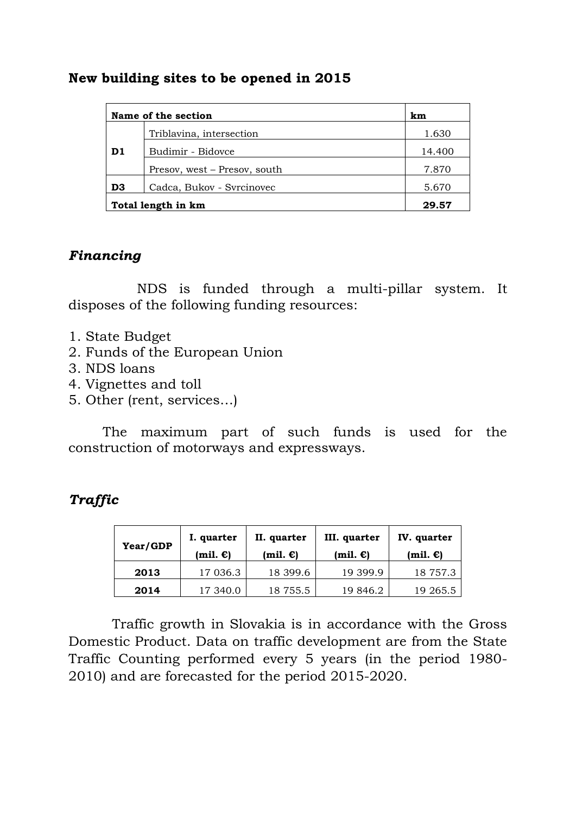#### **New building sites to be opened in 2015**

|                    | Name of the section          |        |  |  |  |
|--------------------|------------------------------|--------|--|--|--|
|                    | Triblavina, intersection     | 1.630  |  |  |  |
| D <sub>1</sub>     | Budimir - Bidovce            | 14.400 |  |  |  |
|                    | Presov, west – Presov, south | 7.870  |  |  |  |
| D <sub>3</sub>     | Cadca, Bukov - Syrcinovec    | 5.670  |  |  |  |
| Total length in km | 29.57                        |        |  |  |  |

### *Financing*

NDS is funded through a multi-pillar system. It disposes of the following funding resources:

- 1. State Budget
- 2. Funds of the European Union
- 3. NDS loans
- 4. Vignettes and toll
- 5. Other (rent, services…)

The maximum part of such funds is used for the construction of motorways and expressways.

## *Traffic*

| Year/GDP | I. quarter<br>$(mil. \mathbf{\epsilon})$ | II. quarter<br>(mil. $\epsilon$ ) | III. quarter<br>$(mil. \mathbf{\epsilon})$ | IV. quarter<br>$(mil. \mathbf{\epsilon})$ |
|----------|------------------------------------------|-----------------------------------|--------------------------------------------|-------------------------------------------|
| 2013     | 17 036.3                                 | 18 399.6                          | 19 399.9                                   | 18 757.3                                  |
| 2014     | 17 340.0                                 | 18 755.5                          | 19 846.2                                   | 19 265.5                                  |

Traffic growth in Slovakia is in accordance with the Gross Domestic Product. Data on traffic development are from the State Traffic Counting performed every 5 years (in the period 1980- 2010) and are forecasted for the period 2015-2020.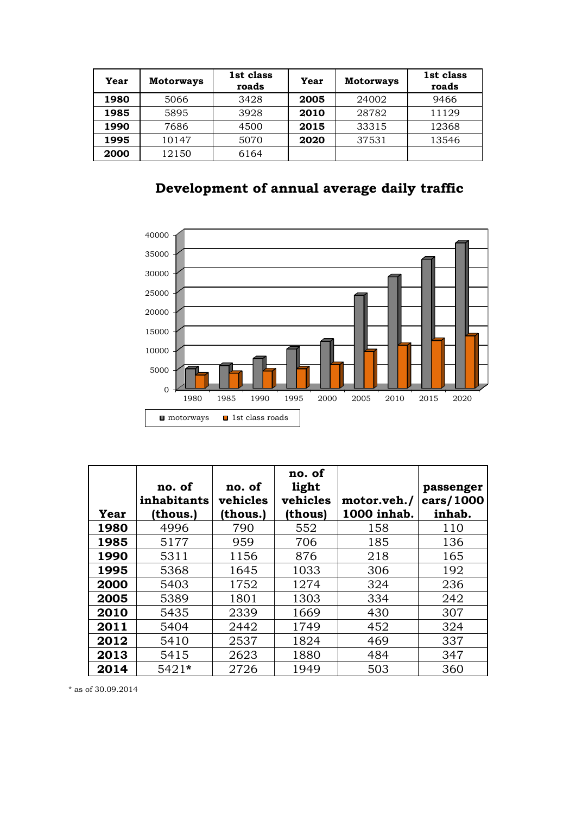| Year | <b>Motorways</b> | 1st class<br>roads | Year | <b>Motorways</b> | 1st class<br>roads |
|------|------------------|--------------------|------|------------------|--------------------|
| 1980 | 5066             | 3428               | 2005 | 24002            | 9466               |
| 1985 | 5895             | 3928               | 2010 | 28782            | 11129              |
| 1990 | 7686             | 4500               | 2015 | 33315            | 12368              |
| 1995 | 10147            | 5070               | 2020 | 37531            | 13546              |
| 2000 | 12150            | 6164               |      |                  |                    |

**Development of annual average daily traffic** 



| Year | no. of<br>inhabitants<br>(thous.) | no. of<br>vehicles<br>(thous.) | no. of<br>light<br>vehicles<br>(thous) | motor.veh./<br>1000 inhab. | passenger<br>cars/1000<br>inhab. |
|------|-----------------------------------|--------------------------------|----------------------------------------|----------------------------|----------------------------------|
| 1980 | 4996                              | 790                            | 552                                    | 158                        | 110                              |
| 1985 | 5177                              | 959                            | 706                                    | 185                        | 136                              |
| 1990 | 5311                              | 1156                           | 876                                    | 218                        | 165                              |
| 1995 | 5368                              | 1645                           | 1033                                   | 306                        | 192                              |
| 2000 | 5403                              | 1752                           | 1274                                   | 324                        | 236                              |
| 2005 | 5389                              | 1801                           | 1303                                   | 334                        | 242                              |
| 2010 | 5435                              | 2339                           | 1669                                   | 430                        | 307                              |
| 2011 | 5404                              | 2442                           | 1749                                   | 452                        | 324                              |
| 2012 | 5410                              | 2537                           | 1824                                   | 469                        | 337                              |
| 2013 | 5415                              | 2623                           | 1880                                   | 484                        | 347                              |
| 2014 | $5421*$                           | 2726                           | 1949                                   | 503                        | 360                              |

\* as of 30.09.2014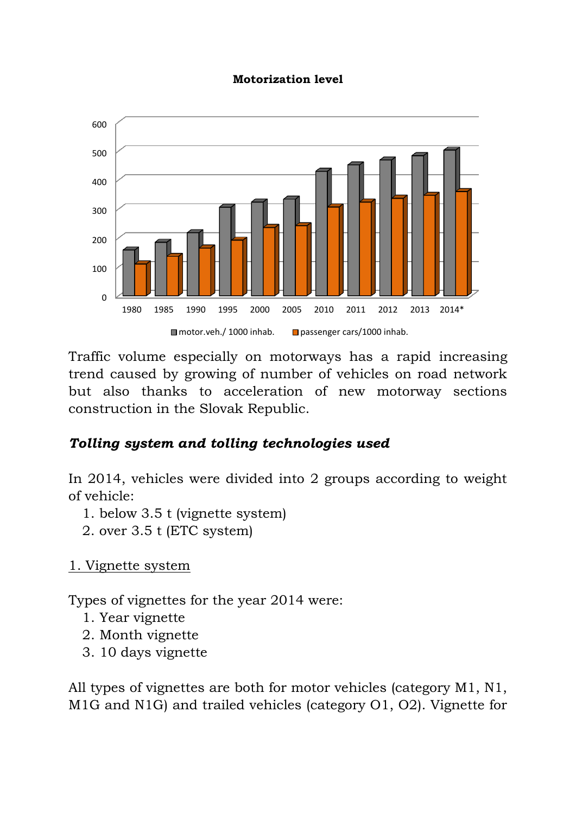#### **Motorization level**



Traffic volume especially on motorways has a rapid increasing trend caused by growing of number of vehicles on road network but also thanks to acceleration of new motorway sections construction in the Slovak Republic.

## *Tolling system and tolling technologies used*

In 2014, vehicles were divided into 2 groups according to weight of vehicle:

- 1. below 3.5 t (vignette system)
- 2. over 3.5 t (ETC system)
- 1. Vignette system

Types of vignettes for the year 2014 were:

- 1. Year vignette
- 2. Month vignette
- 3. 10 days vignette

All types of vignettes are both for motor vehicles (category M1, N1, M1G and N1G) and trailed vehicles (category O1, O2). Vignette for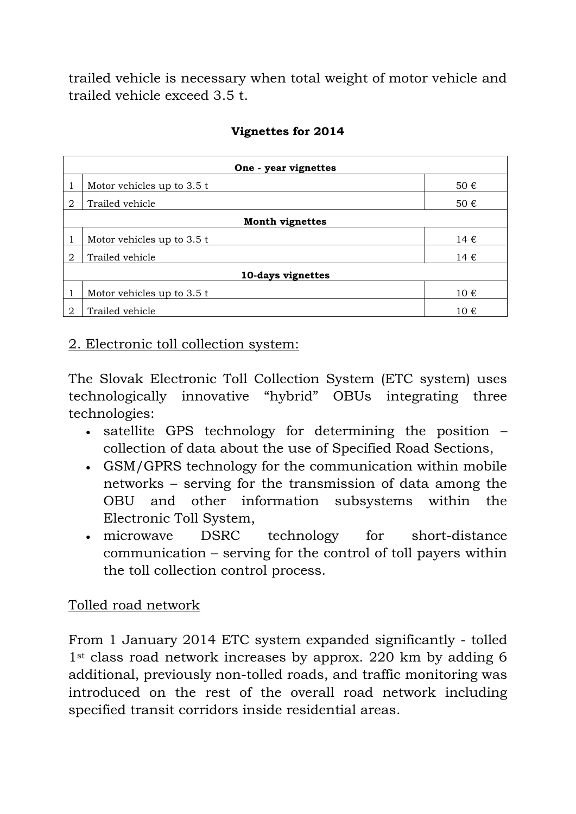trailed vehicle is necessary when total weight of motor vehicle and trailed vehicle exceed 3.5 t.

|               | One - year vignettes         |          |  |  |  |
|---------------|------------------------------|----------|--|--|--|
| 1             | Motor vehicles up to 3.5 t   | 50 €     |  |  |  |
| $\mathcal{D}$ | Trailed vehicle              | 50€      |  |  |  |
|               | <b>Month vignettes</b>       |          |  |  |  |
|               | Motor vehicles up to $3.5 t$ | 14 €     |  |  |  |
| 2             | Trailed vehicle              | 14 €     |  |  |  |
|               | 10-days vignettes            |          |  |  |  |
| 1             | Motor vehicles up to 3.5 t   | $10 \in$ |  |  |  |
| 2             | Trailed vehicle              | 10€      |  |  |  |

#### **Vignettes for 2014**

### 2. Electronic toll collection system:

The Slovak Electronic Toll Collection System (ETC system) uses technologically innovative "hybrid" OBUs integrating three technologies:

- satellite GPS technology for determining the position collection of data about the use of Specified Road Sections,
- GSM/GPRS technology for the communication within mobile networks – serving for the transmission of data among the OBU and other information subsystems within the Electronic Toll System,
- microwave DSRC technology for short-distance communication – serving for the control of toll payers within the toll collection control process.

## Tolled road network

From 1 January 2014 ETC system expanded significantly - tolled 1<sup>st</sup> class road network increases by approx. 220 km by adding 6 additional, previously non-tolled roads, and traffic monitoring was introduced on the rest of the overall road network including specified transit corridors inside residential areas.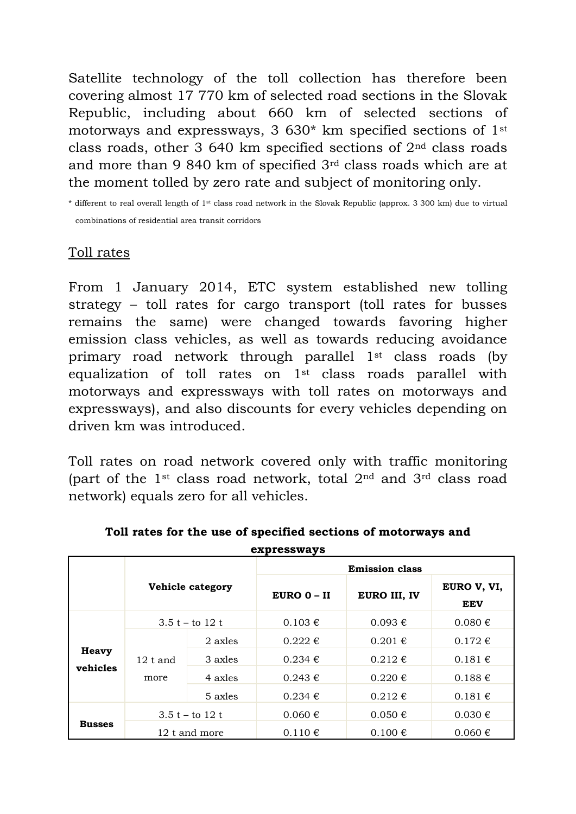Satellite technology of the toll collection has therefore been covering almost 17 770 km of selected road sections in the Slovak Republic, including about 660 km of selected sections of motorways and expressways, 3 630\* km specified sections of 1st class roads, other 3 640 km specified sections of  $2<sup>nd</sup>$  class roads and more than 9 840 km of specified 3rd class roads which are at the moment tolled by zero rate and subject of monitoring only.

\* different to real overall length of 1st class road network in the Slovak Republic (approx. 3 300 km) due to virtual combinations of residential area transit corridors

## Toll rates

From 1 January 2014, ETC system established new tolling strategy – toll rates for cargo transport (toll rates for busses remains the same) were changed towards favoring higher emission class vehicles, as well as towards reducing avoidance primary road network through parallel 1st class roads (by equalization of toll rates on  $1<sup>st</sup>$  class roads parallel with motorways and expressways with toll rates on motorways and expressways), and also discounts for every vehicles depending on driven km was introduced.

Toll rates on road network covered only with traffic monitoring (part of the 1st class road network, total 2nd and 3rd class road network) equals zero for all vehicles.

| expressways   |                       |         |                 |                    |                           |  |
|---------------|-----------------------|---------|-----------------|--------------------|---------------------------|--|
|               | <b>Emission class</b> |         |                 |                    |                           |  |
|               | Vehicle category      |         | $EURO$ $0 - II$ | EURO III, IV       | EURO V, VI,<br><b>EEV</b> |  |
|               | 3.5 t – to 12 t       |         | $0.103 \in$     | $0.093 \notin$     | $0.080 \in$               |  |
|               | $12$ t and<br>more    | 2 axles | $0.222 \in$     | $0.201 \in$        | $0.172 \in$               |  |
| <b>Heavy</b>  |                       | 3 axles | $0.234 \in$     | $0.212 \in$        | $0.181 \in$               |  |
| vehicles      |                       | 4 axles | $0.243 \notin$  | $0.220 \in$        | $0.188 \in$               |  |
|               |                       | 5 axles | $0.234 \in$     | $0.212 \,\epsilon$ | $0.181 \in$               |  |
|               | 3.5 t – to 12 t       |         | $0.060 \in$     | $0.050 \in$        | $0.030 \in$               |  |
| <b>Busses</b> | 12 t and more         |         | $0.110 \in$     | $0.100 \in$        | $0.060 \in$               |  |

**Toll rates for the use of specified sections of motorways and**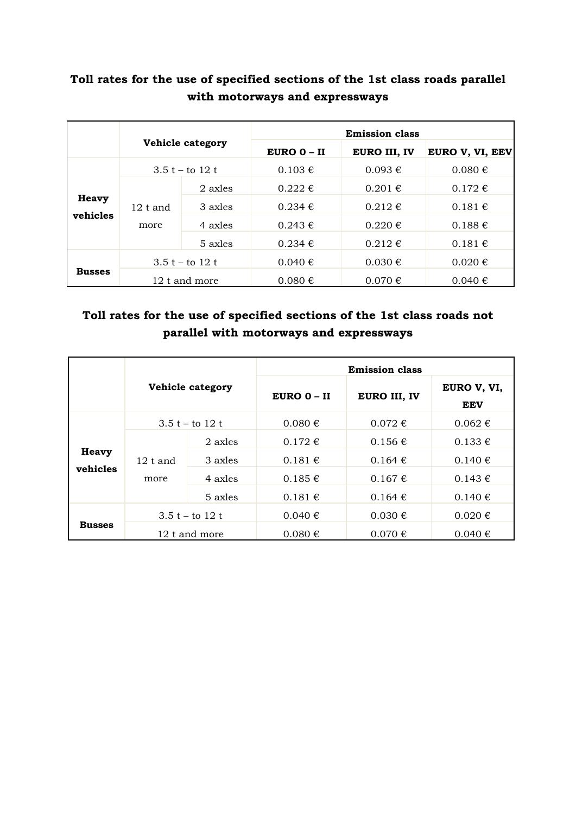### **Toll rates for the use of specified sections of the 1st class roads parallel with motorways and expressways**

|               | Vehicle category   |               | <b>Emission class</b> |                |                 |
|---------------|--------------------|---------------|-----------------------|----------------|-----------------|
|               |                    |               | $EURO$ 0 – II         | EURO III, IV   | EURO V, VI, EEV |
|               | 3.5 t – to 12 t    |               | $0.103 \in$           | $0.093 \notin$ | $0.080 \in$     |
|               | $12$ t and<br>more | 2 axles       | $0.222 \in$           | $0.201 \in$    | $0.172 \in$     |
| Heavy         |                    | 3 axles       | $0.234 \notin$        | $0.212 \in$    | $0.181 \in$     |
| vehicles      |                    | 4 axles       | $0.243 \notin$        | $0.220 \in$    | $0.188 \in$     |
|               |                    | 5 axles       | $0.234 \in$           | $0.212 \in$    | 0.181€          |
| <b>Busses</b> | 3.5 t – to 12 t    |               | $0.040 \in$           | $0.030 \in$    | $0.020 \in$     |
|               |                    | 12 t and more | $0.080 \in$           | $0.070 \in$    | $0.040 \notin$  |

## **Toll rates for the use of specified sections of the 1st class roads not parallel with motorways and expressways**

|                          | Vehicle category   |                   | <b>Emission class</b> |                      |                           |  |
|--------------------------|--------------------|-------------------|-----------------------|----------------------|---------------------------|--|
|                          |                    |                   | $EURO$ 0 – II         | EURO III, IV         | EURO V, VI,<br><b>EEV</b> |  |
|                          |                    | 3.5 t – to 12 t   | $0.080 \in$           | $0.072 \text{ } \in$ | $0.062 \notin$            |  |
|                          | $12$ t and<br>more | 2 axles           | $0.172 \text{ } \in$  | $0.156 \in$          | $0.133 \in$               |  |
| <b>Heavy</b><br>vehicles |                    | 3 axles           | $0.181 \in$           | $0.164 \in$          | 0.140€                    |  |
|                          |                    | 4 axles           | $0.185 \in$           | $0.167 \notin$       | $0.143 \in$               |  |
|                          |                    | 5 axles           | $0.181 \in$           | $0.164 \in$          | $0.140 \in$               |  |
|                          |                    | $3.5 t - to 12 t$ | $0.040 \notin$        | $0.030 \in$          | $0.020 \in$               |  |
| <b>Busses</b>            |                    | 12 t and more     | $0.080 \in$           | $0.070 \in$          | $0.040 \in$               |  |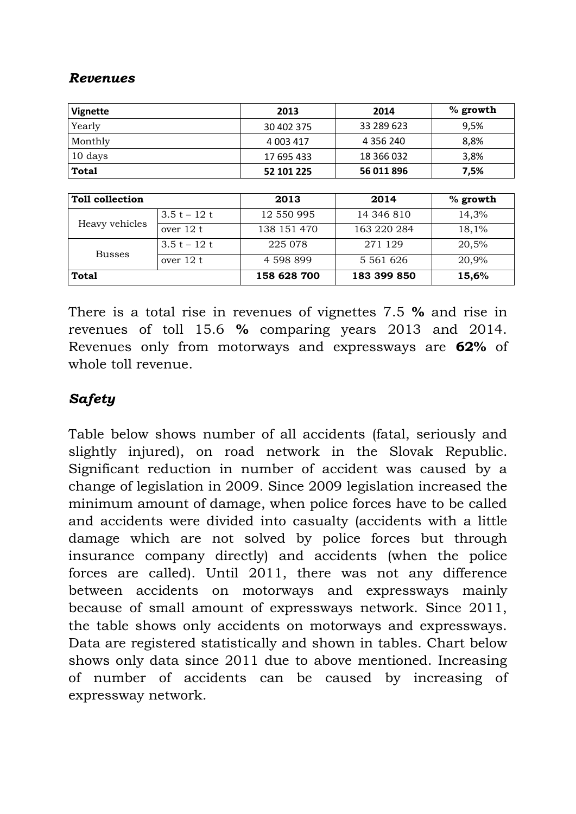### *Revenues*

| <b>Vignette</b>        |              | 2013        | 2014          | % growth   |
|------------------------|--------------|-------------|---------------|------------|
| Yearly                 |              | 30 402 375  | 33 289 623    | 9,5%       |
| Monthly                |              | 4 003 417   | 4 3 5 6 2 4 0 | 8,8%       |
| 10 days                |              | 17 695 433  | 18 366 032    | 3,8%       |
| <b>Total</b>           |              | 52 101 225  | 56 011 896    | 7,5%       |
|                        |              |             |               |            |
| <b>Toll collection</b> |              | 2013        | 2014          | $%$ growth |
|                        | $3.5t - 12t$ | 12 550 995  | 14 346 810    | 14,3%      |
| Heavy vehicles         | over 12 t    | 138 151 470 | 163 220 284   | 18,1%      |
|                        | $3.5t - 12t$ | 225 078     | 271 129       | 20,5%      |
| <b>Busses</b>          | over 12 t    | 4 598 899   | 5 5 6 1 6 2 6 | 20,9%      |
| <b>Total</b>           |              | 158 628 700 | 183 399 850   | 15,6%      |

There is a total rise in revenues of vignettes 7.5 **%** and rise in revenues of toll 15.6 **%** comparing years 2013 and 2014. Revenues only from motorways and expressways are **62%** of whole toll revenue.

### *Safety*

Table below shows number of all accidents (fatal, seriously and slightly injured), on road network in the Slovak Republic. Significant reduction in number of accident was caused by a change of legislation in 2009. Since 2009 legislation increased the minimum amount of damage, when police forces have to be called and accidents were divided into casualty (accidents with a little damage which are not solved by police forces but through insurance company directly) and accidents (when the police forces are called). Until 2011, there was not any difference between accidents on motorways and expressways mainly because of small amount of expressways network. Since 2011, the table shows only accidents on motorways and expressways. Data are registered statistically and shown in tables. Chart below shows only data since 2011 due to above mentioned. Increasing of number of accidents can be caused by increasing of expressway network.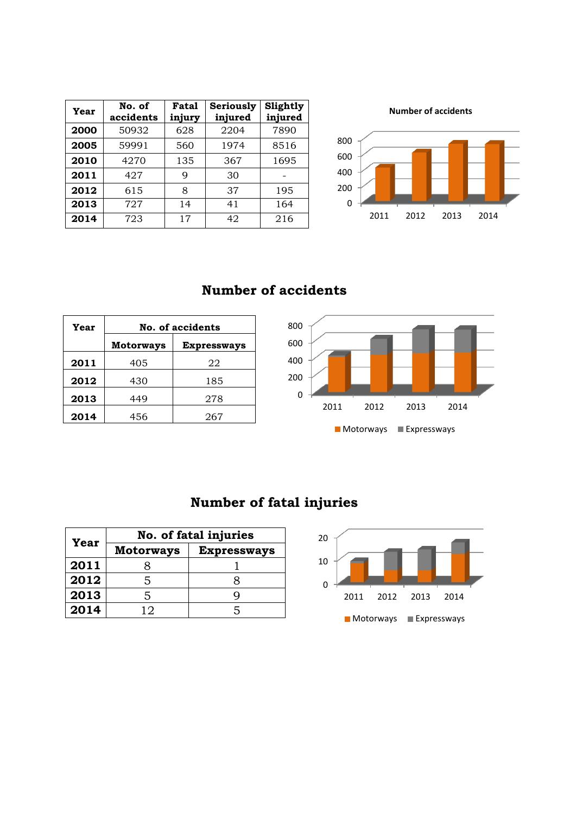| Year | No. of<br>accidents | Fatal<br>injury | Seriously<br>injured | Slightly<br>injured |
|------|---------------------|-----------------|----------------------|---------------------|
| 2000 | 50932               | 628             | 2204                 | 7890                |
| 2005 | 59991               | 560             | 1974                 | 8516                |
| 2010 | 4270                | 135             | 367                  | 1695                |
| 2011 | 427                 | 9               | 30                   |                     |
| 2012 | 615                 | 8               | 37                   | 195                 |
| 2013 | 727                 | 14              | 41                   | 164                 |
| 2014 | 723                 | 17              | 42                   | 216                 |

**Number of accidents**



### **Number of accidents**

| Year | No. of accidents                       |     |  |  |
|------|----------------------------------------|-----|--|--|
|      | <b>Motorways</b><br><b>Expressways</b> |     |  |  |
| 2011 | 405                                    | 22  |  |  |
| 2012 | 430                                    | 185 |  |  |
| 2013 | 449                                    | 278 |  |  |
| 2014 | 456                                    | 267 |  |  |



# **Number of fatal injuries**

|      | No. of fatal injuries |                    |  |  |
|------|-----------------------|--------------------|--|--|
| Year | <b>Motorways</b>      | <b>Expressways</b> |  |  |
| 2011 |                       |                    |  |  |
| 2012 | 5                     |                    |  |  |
| 2013 | 5                     |                    |  |  |
| 2014 | 12                    | 5                  |  |  |

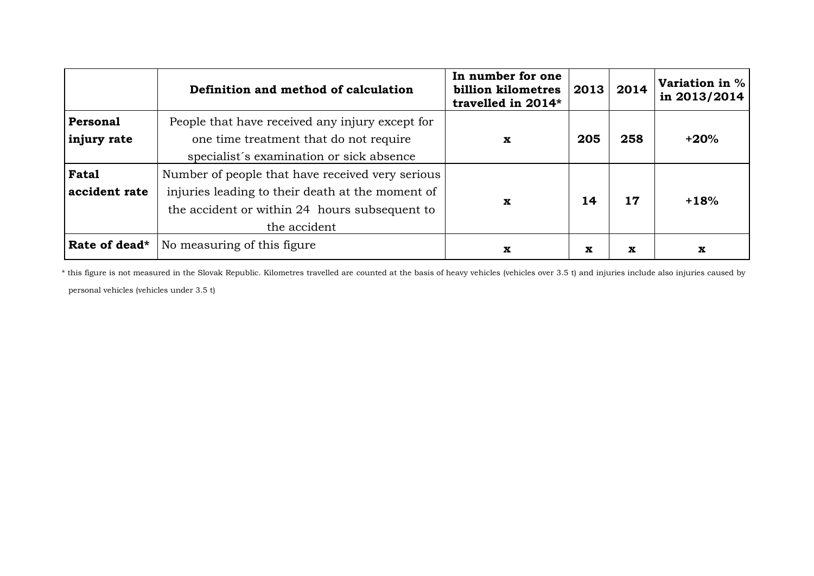|               | Definition and method of calculation             | In number for one<br>billion kilometres<br>travelled in 2014* | 2013 | 2014 | <b>Variation in %</b><br>in 2013/2014 |
|---------------|--------------------------------------------------|---------------------------------------------------------------|------|------|---------------------------------------|
| Personal      | People that have received any injury except for  |                                                               |      |      |                                       |
| injury rate   | one time treatment that do not require           | $\mathbf x$                                                   | 205  | 258  | $+20%$                                |
|               | specialist's examination or sick absence         |                                                               |      |      |                                       |
| <b>Fatal</b>  | Number of people that have received very serious |                                                               |      |      |                                       |
| accident rate | injuries leading to their death at the moment of |                                                               | 14   | 17   | $+18%$                                |
|               | the accident or within 24 hours subsequent to    | $\mathbf x$                                                   |      |      |                                       |
|               | the accident                                     |                                                               |      |      |                                       |
| Rate of dead* | No measuring of this figure.                     | x                                                             | X    | x    | x                                     |

\* this figure is not measured in the Slovak Republic. Kilometres travelled are counted at the basis of heavy vehicles (vehicles over 3.5 t) and injuries include also injuries caused by personal vehicles (vehicles under 3.5 t)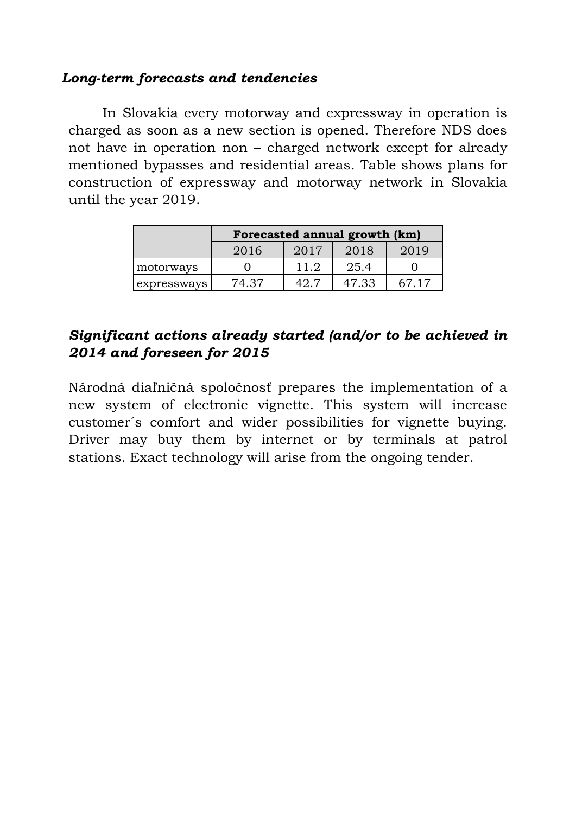### *Long-term forecasts and tendencies*

In Slovakia every motorway and expressway in operation is charged as soon as a new section is opened. Therefore NDS does not have in operation non – charged network except for already mentioned bypasses and residential areas. Table shows plans for construction of expressway and motorway network in Slovakia until the year 2019.

|                              | Forecasted annual growth (km) |      |       |       |
|------------------------------|-------------------------------|------|-------|-------|
| 2017<br>2018<br>2016<br>2019 |                               |      |       |       |
| motorways                    |                               | 11.2 | 25.4  |       |
| expressways                  | 74.37                         | 497  | 47.33 | 67 17 |

## *Significant actions already started (and/or to be achieved in 2014 and foreseen for 2015*

Národná diaľničná spoločnosť prepares the implementation of a new system of electronic vignette. This system will increase customer´s comfort and wider possibilities for vignette buying. Driver may buy them by internet or by terminals at patrol stations. Exact technology will arise from the ongoing tender.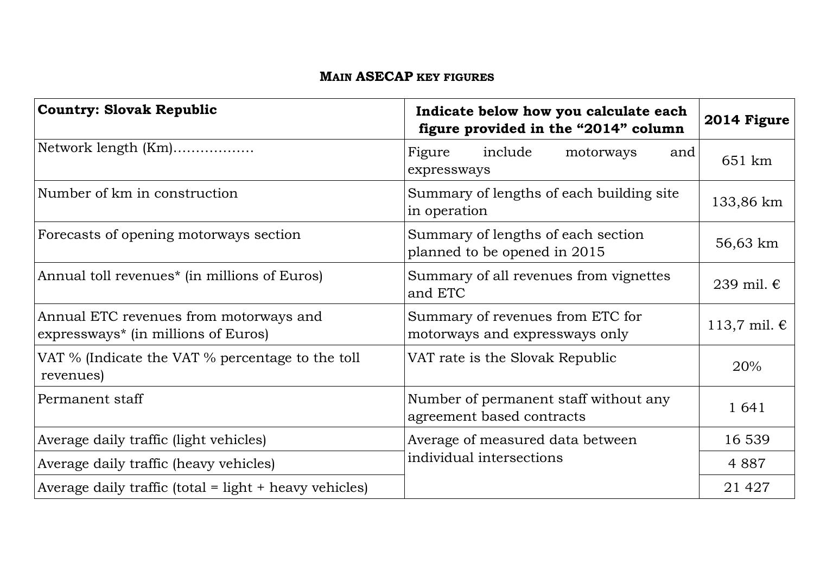### **MAIN ASECAP KEY FIGURES**

| <b>Country: Slovak Republic</b>                                                           | Indicate below how you calculate each<br>figure provided in the "2014" column | 2014 Figure           |
|-------------------------------------------------------------------------------------------|-------------------------------------------------------------------------------|-----------------------|
| Network length (Km)                                                                       | include<br>Figure<br>motorways<br>and<br>expressways                          | 651 km                |
| Number of km in construction                                                              | Summary of lengths of each building site<br>in operation                      | 133,86 km             |
| Forecasts of opening motorways section                                                    | Summary of lengths of each section<br>planned to be opened in 2015            | 56,63 km              |
| Annual toll revenues <sup>*</sup> (in millions of Euros)                                  | Summary of all revenues from vignettes<br>and ETC                             | 239 mil. €            |
| Annual ETC revenues from motorways and<br>expressways <sup>*</sup> (in millions of Euros) | Summary of revenues from ETC for<br>motorways and expressways only            | 113,7 mil. $\epsilon$ |
| VAT % (Indicate the VAT % percentage to the toll<br>revenues)                             | VAT rate is the Slovak Republic                                               | 20%                   |
| Permanent staff                                                                           | Number of permanent staff without any<br>agreement based contracts            | 1 641                 |
| Average daily traffic (light vehicles)                                                    | Average of measured data between                                              | 16 539                |
| Average daily traffic (heavy vehicles)                                                    | individual intersections                                                      | 4 8 8 7               |
| Average daily traffic (total = $light + heavy$ vehicles)                                  |                                                                               | 21 4 27               |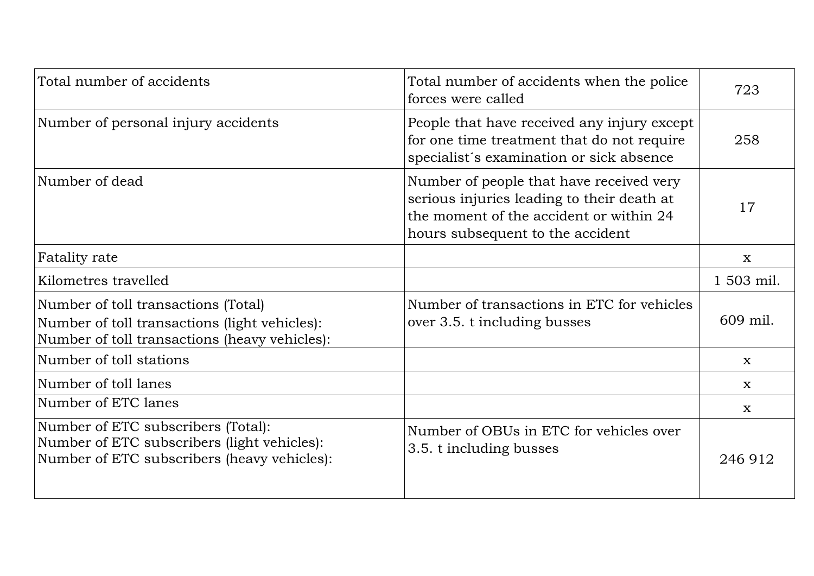| Total number of accidents                                                                                                             | Total number of accidents when the police<br>forces were called                                                                                                       | 723         |
|---------------------------------------------------------------------------------------------------------------------------------------|-----------------------------------------------------------------------------------------------------------------------------------------------------------------------|-------------|
| Number of personal injury accidents                                                                                                   | People that have received any injury except<br>for one time treatment that do not require<br>specialist's examination or sick absence                                 | 258         |
| Number of dead                                                                                                                        | Number of people that have received very<br>serious injuries leading to their death at<br>the moment of the accident or within 24<br>hours subsequent to the accident | 17          |
| Fatality rate                                                                                                                         |                                                                                                                                                                       | $\mathbf X$ |
| Kilometres travelled                                                                                                                  |                                                                                                                                                                       | 1 503 mil.  |
| Number of toll transactions (Total)<br>Number of toll transactions (light vehicles):<br>Number of toll transactions (heavy vehicles): | Number of transactions in ETC for vehicles<br>over 3.5. t including busses                                                                                            | 609 mil.    |
| Number of toll stations                                                                                                               |                                                                                                                                                                       | $\mathbf x$ |
| Number of toll lanes                                                                                                                  |                                                                                                                                                                       | X           |
| Number of ETC lanes                                                                                                                   |                                                                                                                                                                       | X           |
| Number of ETC subscribers (Total):<br>Number of ETC subscribers (light vehicles):<br>Number of ETC subscribers (heavy vehicles):      | Number of OBUs in ETC for vehicles over<br>3.5. t including busses                                                                                                    | 246 912     |